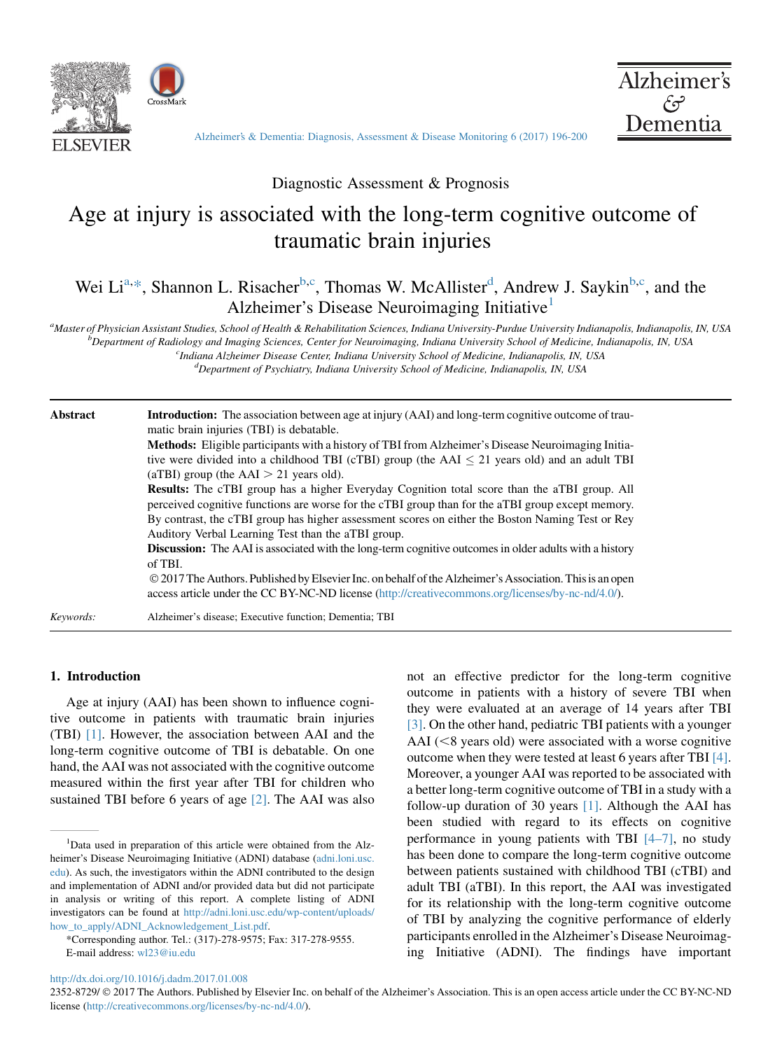



[Alzheimer's & Dementia: Diagnosis, Assessment & Disease Monitoring 6 \(2017\) 196-200](http://dx.doi.org/10.1016/j.dadm.2017.01.008)

Diagnostic Assessment & Prognosis

# Age at injury is associated with the long-term cognitive outcome of traumatic brain injuries

# Wei Li<sup>a,\*</sup>, Shannon L. Risacher<sup>b,c</sup>, Thomas W. McAllister<sup>d</sup>, Andrew J. Saykin<sup>b,c</sup>, and the Alzheimer's Disease Neuroimaging Initiative<sup>1</sup>

a<br>Master of Physician Assistant Studies, School of Health & Rehabilitation Sciences, Indiana University-Purdue University Indianapolis, Indianapolis, IN, USA by The Badiology and Imaging Sciences, Center for Naugmanic Indi <sup>b</sup>Department of Radiology and Imaging Sciences, Center for Neuroimaging, Indiana University School of Medicine, Indianapolis, IN, USA

<sup>c</sup>Indiana Alzheimer Disease Center, Indiana University School of Medicine, Indianapolis, IN, USA

 ${}^d$ Department of Psychiatry, Indiana University School of Medicine, Indianapolis, IN, USA

| Abstract  | <b>Introduction:</b> The association between age at injury (AAI) and long-term cognitive outcome of trau-<br>matic brain injuries (TBI) is debatable.<br>Methods: Eligible participants with a history of TBI from Alzheimer's Disease Neuroimaging Initia-<br>tive were divided into a childhood TBI (cTBI) group (the AAI $\leq$ 21 years old) and an adult TBI<br>(aTBI) group (the $AAI > 21$ years old).<br><b>Results:</b> The cTBI group has a higher Everyday Cognition total score than the aTBI group. All<br>perceived cognitive functions are worse for the cTBI group than for the aTBI group except memory.<br>By contrast, the cTBI group has higher assessment scores on either the Boston Naming Test or Rey<br>Auditory Verbal Learning Test than the aTBI group.<br><b>Discussion:</b> The AAI is associated with the long-term cognitive outcomes in older adults with a history<br>of TBI.<br>© 2017 The Authors. Published by Elsevier Inc. on behalf of the Alzheimer's Association. This is an open<br>access article under the CC BY-NC-ND license (http://creativecommons.org/licenses/by-nc-nd/4.0/). |
|-----------|----------------------------------------------------------------------------------------------------------------------------------------------------------------------------------------------------------------------------------------------------------------------------------------------------------------------------------------------------------------------------------------------------------------------------------------------------------------------------------------------------------------------------------------------------------------------------------------------------------------------------------------------------------------------------------------------------------------------------------------------------------------------------------------------------------------------------------------------------------------------------------------------------------------------------------------------------------------------------------------------------------------------------------------------------------------------------------------------------------------------------------|
| Keywords: | Alzheimer's disease; Executive function; Dementia; TBI                                                                                                                                                                                                                                                                                                                                                                                                                                                                                                                                                                                                                                                                                                                                                                                                                                                                                                                                                                                                                                                                           |

#### 1. Introduction

Age at injury (AAI) has been shown to influence cognitive outcome in patients with traumatic brain injuries (TBI) [\[1\]](#page-3-0). However, the association between AAI and the long-term cognitive outcome of TBI is debatable. On one hand, the AAI was not associated with the cognitive outcome measured within the first year after TBI for children who sustained TBI before 6 years of age [\[2\].](#page-3-0) The AAI was also not an effective predictor for the long-term cognitive outcome in patients with a history of severe TBI when they were evaluated at an average of 14 years after TBI [\[3\].](#page-3-0) On the other hand, pediatric TBI patients with a younger AAI ( $\leq$ 8 years old) were associated with a worse cognitive outcome when they were tested at least 6 years after TBI [\[4\].](#page-3-0) Moreover, a younger AAI was reported to be associated with a better long-term cognitive outcome of TBI in a study with a follow-up duration of 30 years [\[1\]](#page-3-0). Although the AAI has been studied with regard to its effects on cognitive performance in young patients with TBI [\[4–7\]](#page-3-0), no study has been done to compare the long-term cognitive outcome between patients sustained with childhood TBI (cTBI) and adult TBI (aTBI). In this report, the AAI was investigated for its relationship with the long-term cognitive outcome of TBI by analyzing the cognitive performance of elderly participants enrolled in the Alzheimer's Disease Neuroimaging Initiative (ADNI). The findings have important

<http://dx.doi.org/10.1016/j.dadm.2017.01.008>

2352-8729/  $\odot$  2017 The Authors. Published by Elsevier Inc. on behalf of the Alzheimer's Association. This is an open access article under the CC BY-NC-ND license ([http://creativecommons.org/licenses/by-nc-nd/4.0/\)](http://creativecommons.org/licenses/by-nc-nd/4.0/).

<sup>&</sup>lt;sup>1</sup>Data used in preparation of this article were obtained from the Alzheimer's Disease Neuroimaging Initiative (ADNI) database [\(adni.loni.usc.](http://adni.loni.usc.edu) [edu](http://adni.loni.usc.edu)). As such, the investigators within the ADNI contributed to the design and implementation of ADNI and/or provided data but did not participate in analysis or writing of this report. A complete listing of ADNI investigators can be found at [http://adni.loni.usc.edu/wp-content/uploads/](http://adni.loni.usc.edu/wp-content/uploads/how_to_apply/ADNI_Acknowledgement_List.pdf) [how\\_to\\_apply/ADNI\\_Acknowledgement\\_List.pdf](http://adni.loni.usc.edu/wp-content/uploads/how_to_apply/ADNI_Acknowledgement_List.pdf).

<sup>\*</sup>Corresponding author. Tel.: (317)-278-9575; Fax: 317-278-9555. E-mail address: [wl23@iu.edu](mailto:wl23@iu.edu)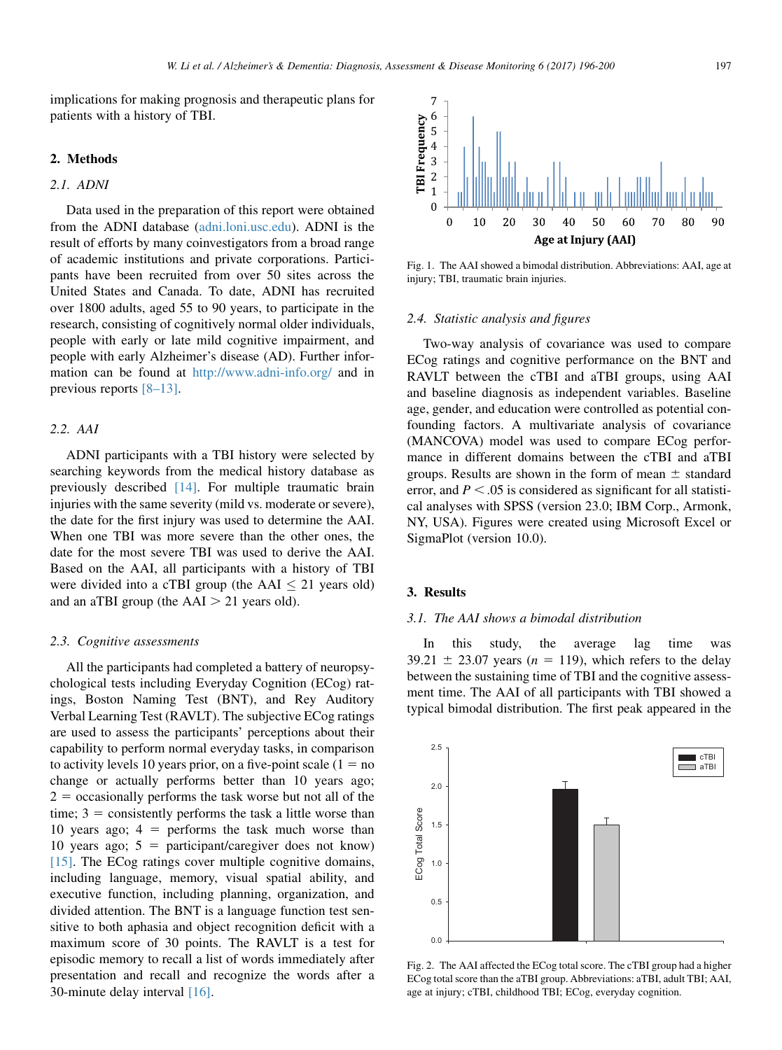<span id="page-1-0"></span>implications for making prognosis and therapeutic plans for patients with a history of TBI.

## 2. Methods

#### 2.1. ADNI

Data used in the preparation of this report were obtained from the ADNI database ([adni.loni.usc.edu\)](http://adni.loni.usc.edu). ADNI is the result of efforts by many coinvestigators from a broad range of academic institutions and private corporations. Participants have been recruited from over 50 sites across the United States and Canada. To date, ADNI has recruited over 1800 adults, aged 55 to 90 years, to participate in the research, consisting of cognitively normal older individuals, people with early or late mild cognitive impairment, and people with early Alzheimer's disease (AD). Further information can be found at <http://www.adni-info.org/> and in previous reports [\[8–13\]](#page-4-0).

#### 2.2. AAI

ADNI participants with a TBI history were selected by searching keywords from the medical history database as previously described [\[14\]](#page-4-0). For multiple traumatic brain injuries with the same severity (mild vs. moderate or severe), the date for the first injury was used to determine the AAI. When one TBI was more severe than the other ones, the date for the most severe TBI was used to derive the AAI. Based on the AAI, all participants with a history of TBI were divided into a cTBI group (the  $AAI < 21$  years old) and an aTBI group (the  $AAI > 21$  years old).

#### 2.3. Cognitive assessments

All the participants had completed a battery of neuropsychological tests including Everyday Cognition (ECog) ratings, Boston Naming Test (BNT), and Rey Auditory Verbal Learning Test (RAVLT). The subjective ECog ratings are used to assess the participants' perceptions about their capability to perform normal everyday tasks, in comparison to activity levels 10 years prior, on a five-point scale  $(1 = no$ change or actually performs better than 10 years ago;  $2 =$  occasionally performs the task worse but not all of the time;  $3 =$  consistently performs the task a little worse than 10 years ago;  $4 =$  performs the task much worse than 10 years ago;  $5 =$  participant/caregiver does not know) [\[15\].](#page-4-0) The ECog ratings cover multiple cognitive domains, including language, memory, visual spatial ability, and executive function, including planning, organization, and divided attention. The BNT is a language function test sensitive to both aphasia and object recognition deficit with a maximum score of 30 points. The RAVLT is a test for episodic memory to recall a list of words immediately after presentation and recall and recognize the words after a 30-minute delay interval [\[16\]](#page-4-0).



Fig. 1. The AAI showed a bimodal distribution. Abbreviations: AAI, age at injury; TBI, traumatic brain injuries.

#### 2.4. Statistic analysis and figures

Two-way analysis of covariance was used to compare ECog ratings and cognitive performance on the BNT and RAVLT between the cTBI and aTBI groups, using AAI and baseline diagnosis as independent variables. Baseline age, gender, and education were controlled as potential confounding factors. A multivariate analysis of covariance (MANCOVA) model was used to compare ECog performance in different domains between the cTBI and aTBI groups. Results are shown in the form of mean  $\pm$  standard error, and  $P < .05$  is considered as significant for all statistical analyses with SPSS (version 23.0; IBM Corp., Armonk, NY, USA). Figures were created using Microsoft Excel or SigmaPlot (version 10.0).

#### 3. Results

#### 3.1. The AAI shows a bimodal distribution

In this study, the average lag time was 39.21  $\pm$  23.07 years (n = 119), which refers to the delay between the sustaining time of TBI and the cognitive assessment time. The AAI of all participants with TBI showed a typical bimodal distribution. The first peak appeared in the



Fig. 2. The AAI affected the ECog total score. The cTBI group had a higher ECog total score than the aTBI group. Abbreviations: aTBI, adult TBI; AAI, age at injury; cTBI, childhood TBI; ECog, everyday cognition.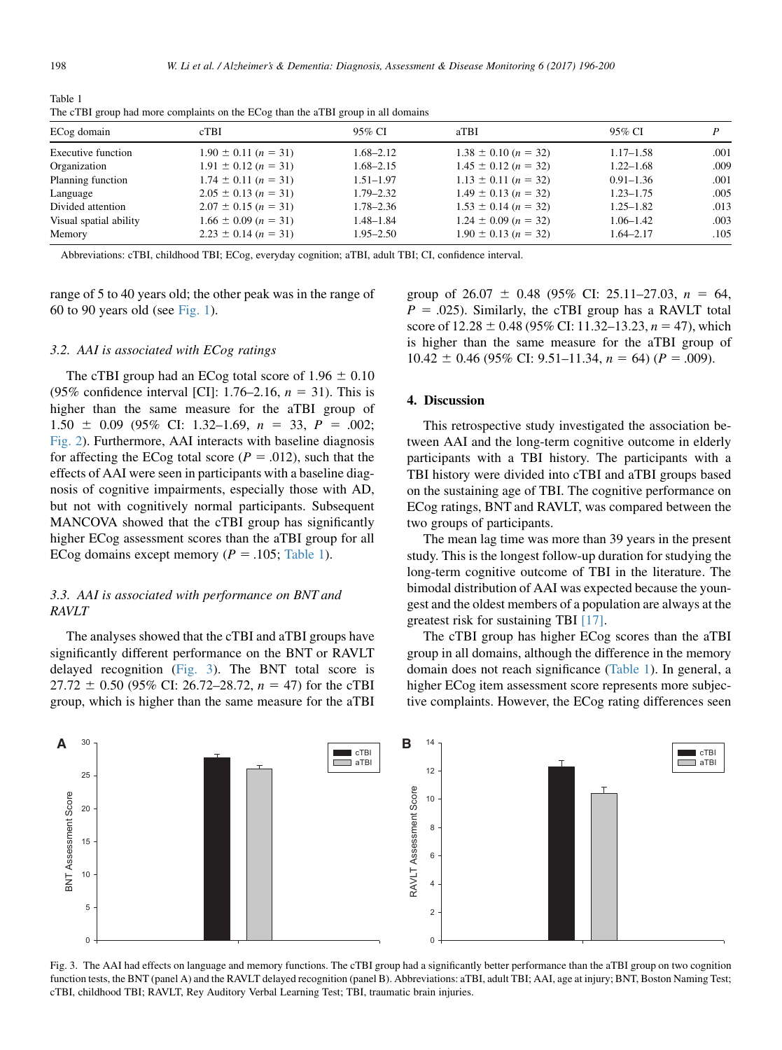| Table 1                                                                           |  |  |  |
|-----------------------------------------------------------------------------------|--|--|--|
| The cTBI group had more complaints on the ECog than the aTBI group in all domains |  |  |  |

| ECog domain            | cTBI                     | 95% CI        | aTBI                     | 95% CI        |      |
|------------------------|--------------------------|---------------|--------------------------|---------------|------|
| Executive function     | $1.90 \pm 0.11$ (n = 31) | 1.68–2.12     | $1.38 \pm 0.10 (n = 32)$ | $1.17 - 1.58$ | .001 |
| Organization           | $1.91 \pm 0.12$ (n = 31) | 1.68–2.15     | $1.45 \pm 0.12$ (n = 32) | $1.22 - 1.68$ | .009 |
| Planning function      | $1.74 \pm 0.11 (n = 31)$ | $1.51 - 1.97$ | $1.13 \pm 0.11$ (n = 32) | $0.91 - 1.36$ | .001 |
| Language               | $2.05 \pm 0.13$ (n = 31) | $1.79 - 2.32$ | $1.49 \pm 0.13$ (n = 32) | $1.23 - 1.75$ | .005 |
| Divided attention      | $2.07 \pm 0.15$ (n = 31) | 1.78–2.36     | $1.53 \pm 0.14$ (n = 32) | $1.25 - 1.82$ | .013 |
| Visual spatial ability | $1.66 \pm 0.09 (n = 31)$ | $1.48 - 1.84$ | $1.24 \pm 0.09$ (n = 32) | $1.06 - 1.42$ | .003 |
| Memory                 | $2.23 \pm 0.14$ (n = 31) | $1.95 - 2.50$ | $1.90 \pm 0.13$ (n = 32) | $1.64 - 2.17$ | .105 |

Abbreviations: cTBI, childhood TBI; ECog, everyday cognition; aTBI, adult TBI; CI, confidence interval.

range of 5 to 40 years old; the other peak was in the range of 60 to 90 years old (see [Fig. 1](#page-1-0)).

## 3.2. AAI is associated with ECog ratings

The cTBI group had an ECog total score of  $1.96 \pm 0.10$ (95% confidence interval [CI]: 1.76–2.16,  $n = 31$ ). This is higher than the same measure for the aTBI group of  $1.50 \pm 0.09$  (95% CI: 1.32–1.69,  $n = 33$ ,  $P = .002$ ; [Fig. 2\)](#page-1-0). Furthermore, AAI interacts with baseline diagnosis for affecting the ECog total score ( $P = .012$ ), such that the effects of AAI were seen in participants with a baseline diagnosis of cognitive impairments, especially those with AD, but not with cognitively normal participants. Subsequent MANCOVA showed that the cTBI group has significantly higher ECog assessment scores than the aTBI group for all ECog domains except memory ( $P = .105$ ; Table 1).

# 3.3. AAI is associated with performance on BNT and RAVLT

The analyses showed that the cTBI and aTBI groups have significantly different performance on the BNT or RAVLT delayed recognition (Fig. 3). The BNT total score is  $27.72 \pm 0.50$  (95% CI: 26.72–28.72,  $n = 47$ ) for the cTBI group, which is higher than the same measure for the aTBI group of  $26.07 \pm 0.48$  (95% CI: 25.11–27.03,  $n = 64$ ,  $P = .025$ ). Similarly, the cTBI group has a RAVLT total score of  $12.28 \pm 0.48$  (95% CI: 11.32–13.23,  $n = 47$ ), which is higher than the same measure for the aTBI group of  $10.42 \pm 0.46$  (95% CI: 9.51–11.34,  $n = 64$ ) ( $P = .009$ ).

# 4. Discussion

This retrospective study investigated the association between AAI and the long-term cognitive outcome in elderly participants with a TBI history. The participants with a TBI history were divided into cTBI and aTBI groups based on the sustaining age of TBI. The cognitive performance on ECog ratings, BNT and RAVLT, was compared between the two groups of participants.

The mean lag time was more than 39 years in the present study. This is the longest follow-up duration for studying the long-term cognitive outcome of TBI in the literature. The bimodal distribution of AAI was expected because the youngest and the oldest members of a population are always at the greatest risk for sustaining TBI [\[17\]](#page-4-0).

The cTBI group has higher ECog scores than the aTBI group in all domains, although the difference in the memory domain does not reach significance (Table 1). In general, a higher ECog item assessment score represents more subjective complaints. However, the ECog rating differences seen



Fig. 3. The AAI had effects on language and memory functions. The cTBI group had a significantly better performance than the aTBI group on two cognition function tests, the BNT (panel A) and the RAVLT delayed recognition (panel B). Abbreviations: aTBI, adult TBI; AAI, age at injury; BNT, Boston Naming Test; cTBI, childhood TBI; RAVLT, Rey Auditory Verbal Learning Test; TBI, traumatic brain injuries.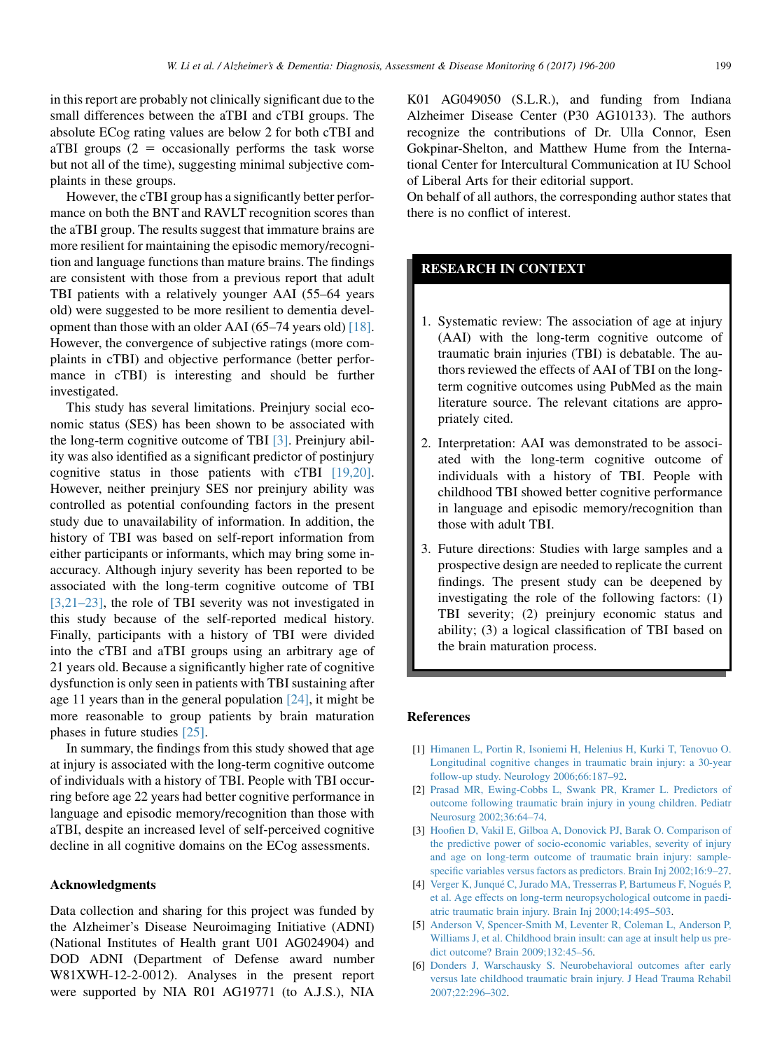<span id="page-3-0"></span>in this report are probably not clinically significant due to the small differences between the aTBI and cTBI groups. The absolute ECog rating values are below 2 for both cTBI and aTBI groups  $(2 = \alpha \text{ccasionally performs the task worse})$ but not all of the time), suggesting minimal subjective complaints in these groups.

However, the cTBI group has a significantly better performance on both the BNT and RAVLT recognition scores than the aTBI group. The results suggest that immature brains are more resilient for maintaining the episodic memory/recognition and language functions than mature brains. The findings are consistent with those from a previous report that adult TBI patients with a relatively younger AAI (55–64 years old) were suggested to be more resilient to dementia development than those with an older AAI (65–74 years old) [\[18\].](#page-4-0) However, the convergence of subjective ratings (more complaints in cTBI) and objective performance (better performance in cTBI) is interesting and should be further investigated.

This study has several limitations. Preinjury social economic status (SES) has been shown to be associated with the long-term cognitive outcome of TBI [3]. Preinjury ability was also identified as a significant predictor of postinjury cognitive status in those patients with cTBI [\[19,20\].](#page-4-0) However, neither preinjury SES nor preinjury ability was controlled as potential confounding factors in the present study due to unavailability of information. In addition, the history of TBI was based on self-report information from either participants or informants, which may bring some inaccuracy. Although injury severity has been reported to be associated with the long-term cognitive outcome of TBI [3,21–23], the role of TBI severity was not investigated in this study because of the self-reported medical history. Finally, participants with a history of TBI were divided into the cTBI and aTBI groups using an arbitrary age of 21 years old. Because a significantly higher rate of cognitive dysfunction is only seen in patients with TBI sustaining after age 11 years than in the general population [\[24\],](#page-4-0) it might be more reasonable to group patients by brain maturation phases in future studies [\[25\].](#page-4-0)

In summary, the findings from this study showed that age at injury is associated with the long-term cognitive outcome of individuals with a history of TBI. People with TBI occurring before age 22 years had better cognitive performance in language and episodic memory/recognition than those with aTBI, despite an increased level of self-perceived cognitive decline in all cognitive domains on the ECog assessments.

#### Acknowledgments

Data collection and sharing for this project was funded by the Alzheimer's Disease Neuroimaging Initiative (ADNI) (National Institutes of Health grant U01 AG024904) and DOD ADNI (Department of Defense award number W81XWH-12-2-0012). Analyses in the present report were supported by NIA R01 AG19771 (to A.J.S.), NIA K01 AG049050 (S.L.R.), and funding from Indiana Alzheimer Disease Center (P30 AG10133). The authors recognize the contributions of Dr. Ulla Connor, Esen Gokpinar-Shelton, and Matthew Hume from the International Center for Intercultural Communication at IU School of Liberal Arts for their editorial support.

On behalf of all authors, the corresponding author states that there is no conflict of interest.

# RESEARCH IN CONTEXT

- 1. Systematic review: The association of age at injury (AAI) with the long-term cognitive outcome of traumatic brain injuries (TBI) is debatable. The authors reviewed the effects of AAI of TBI on the longterm cognitive outcomes using PubMed as the main literature source. The relevant citations are appropriately cited.
- 2. Interpretation: AAI was demonstrated to be associated with the long-term cognitive outcome of individuals with a history of TBI. People with childhood TBI showed better cognitive performance in language and episodic memory/recognition than those with adult TBI.
- 3. Future directions: Studies with large samples and a prospective design are needed to replicate the current findings. The present study can be deepened by investigating the role of the following factors: (1) TBI severity; (2) preinjury economic status and ability; (3) a logical classification of TBI based on the brain maturation process.

#### References

- [1] [Himanen L, Portin R, Isoniemi H, Helenius H, Kurki T, Tenovuo O.](http://refhub.elsevier.com/S2352-8729(17)30009-X/sref1) [Longitudinal cognitive changes in traumatic brain injury: a 30-year](http://refhub.elsevier.com/S2352-8729(17)30009-X/sref1) [follow-up study. Neurology 2006;66:187–92.](http://refhub.elsevier.com/S2352-8729(17)30009-X/sref1)
- [2] [Prasad MR, Ewing-Cobbs L, Swank PR, Kramer L. Predictors of](http://refhub.elsevier.com/S2352-8729(17)30009-X/sref2) [outcome following traumatic brain injury in young children. Pediatr](http://refhub.elsevier.com/S2352-8729(17)30009-X/sref2) [Neurosurg 2002;36:64–74](http://refhub.elsevier.com/S2352-8729(17)30009-X/sref2).
- [3] [Hoofien D, Vakil E, Gilboa A, Donovick PJ, Barak O. Comparison of](http://refhub.elsevier.com/S2352-8729(17)30009-X/sref3) [the predictive power of socio-economic variables, severity of injury](http://refhub.elsevier.com/S2352-8729(17)30009-X/sref3) [and age on long-term outcome of traumatic brain injury: sample](http://refhub.elsevier.com/S2352-8729(17)30009-X/sref3)[specific variables versus factors as predictors. Brain Inj 2002;16:9–27](http://refhub.elsevier.com/S2352-8729(17)30009-X/sref3).
- [4] [Verger K, Junqu](http://refhub.elsevier.com/S2352-8729(17)30009-X/sref4)é C, Jurado MA, Tresserra[s P,](http://refhub.elsevier.com/S2352-8729(17)30009-X/sref4) Bartumeus F, Nogués P, [et al. Age effects on long-term neuropsychological outcome in paedi](http://refhub.elsevier.com/S2352-8729(17)30009-X/sref4)[atric traumatic brain injury. Brain Inj 2000;14:495–503.](http://refhub.elsevier.com/S2352-8729(17)30009-X/sref4)
- [5] [Anderson V, Spencer-Smith M, Leventer R, Coleman L, Anderson P,](http://refhub.elsevier.com/S2352-8729(17)30009-X/sref5) [Williams J, et al. Childhood brain insult: can age at insult help us pre](http://refhub.elsevier.com/S2352-8729(17)30009-X/sref5)[dict outcome? Brain 2009;132:45–56.](http://refhub.elsevier.com/S2352-8729(17)30009-X/sref5)
- [6] [Donders J, Warschausky S. Neurobehavioral outcomes after early](http://refhub.elsevier.com/S2352-8729(17)30009-X/sref6) [versus late childhood traumatic brain injury. J Head Trauma Rehabil](http://refhub.elsevier.com/S2352-8729(17)30009-X/sref6) [2007;22:296–302](http://refhub.elsevier.com/S2352-8729(17)30009-X/sref6).